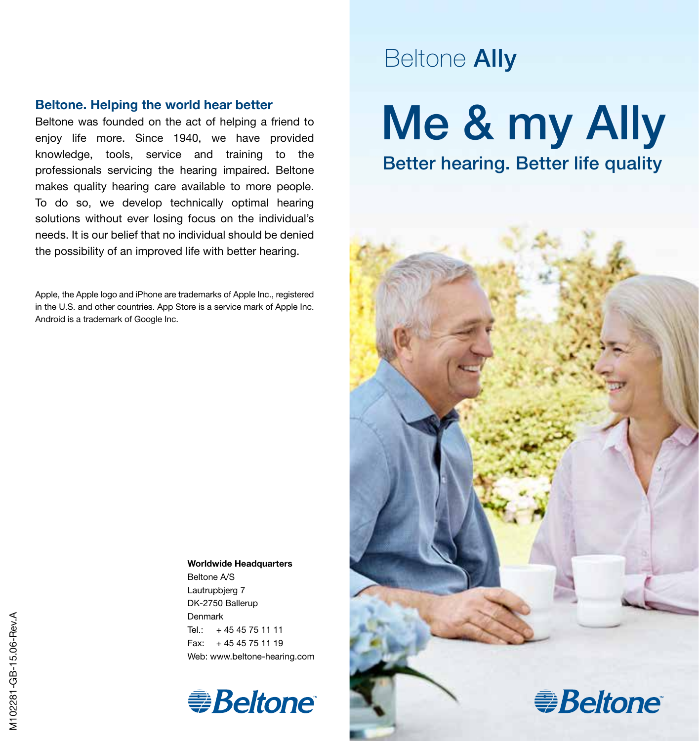#### Beltone. Helping the world hear better

Beltone was founded on the act of helping a friend to enjoy life more. Since 1940, we have provided knowledge, tools, service and training to the professionals servicing the hearing impaired. Beltone makes quality hearing care available to more people. To do so, we develop technically optimal hearing solutions without ever losing focus on the individual's needs. It is our belief that no individual should be denied the possibility of an improved life with better hearing.

Apple, the Apple logo and iPhone are trademarks of Apple Inc., registered in the U.S. and other countries. App Store is a service mark of Apple Inc. Android is a trademark of Google Inc.

### Beltone Ally

# Me & my Ally Better hearing. Better life quality



Worldwide Headquarters

Beltone A/S Lautrupbjerg 7 DK-2750 Ballerup Denmark Tel.:  $+4545751111$ Fax: + 45 45 75 11 19 Web: www.beltone-hearing.com

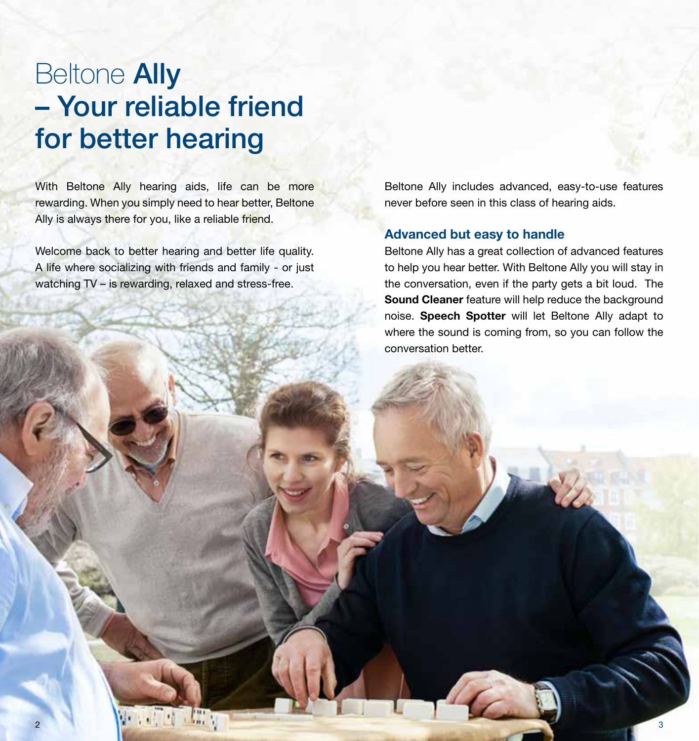### **Beltone Ally** – Your reliable friend for better hearing

With Beltone Ally hearing aids, life can be more rewarding. When you simply need to hear better, Beltone Ally is always there for you, like a reliable friend.

Welcome back to better hearing and better life quality. A life where socializing with friends and family - or just watching TV – is rewarding, relaxed and stress-free.

Beltone Ally includes advanced, easy-to-use features never before seen in this class of hearing aids.

### Advanced but easy to handle

Beltone Ally has a great collection of advanced features to help you hear better. With Beltone Ally you will stay in the conversation, even if the party gets a bit loud. The Sound Cleaner feature will help reduce the background noise. Speech Spotter will let Beltone Ally adapt to where the sound is coming from, so you can follow the conversation better.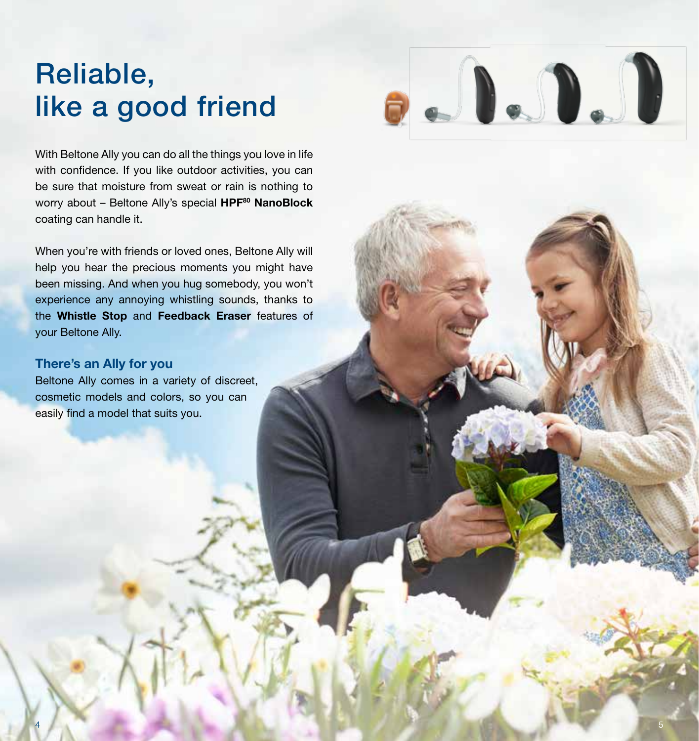## Reliable, like a good friend

With Beltone Ally you can do all the things you love in life with confidence. If you like outdoor activities, you can be sure that moisture from sweat or rain is nothing to worry about - Beltone Ally's special HPF<sup>80</sup> NanoBlock coating can handle it.

When you're with friends or loved ones, Beltone Ally will help you hear the precious moments you might have been missing. And when you hug somebody, you won't experience any annoying whistling sounds, thanks to the Whistle Stop and Feedback Eraser features of your Beltone Ally.

4 Fig. 1 and 1 and 1 and 1 and 1 and 1 and 1 and 1 and 1 and 1 and 1 and 1 and 1 and 1 and 1 and 1 and 1 and 1

#### There's an Ally for you

Beltone Ally comes in a variety of discreet, cosmetic models and colors, so you can easily find a model that suits you.